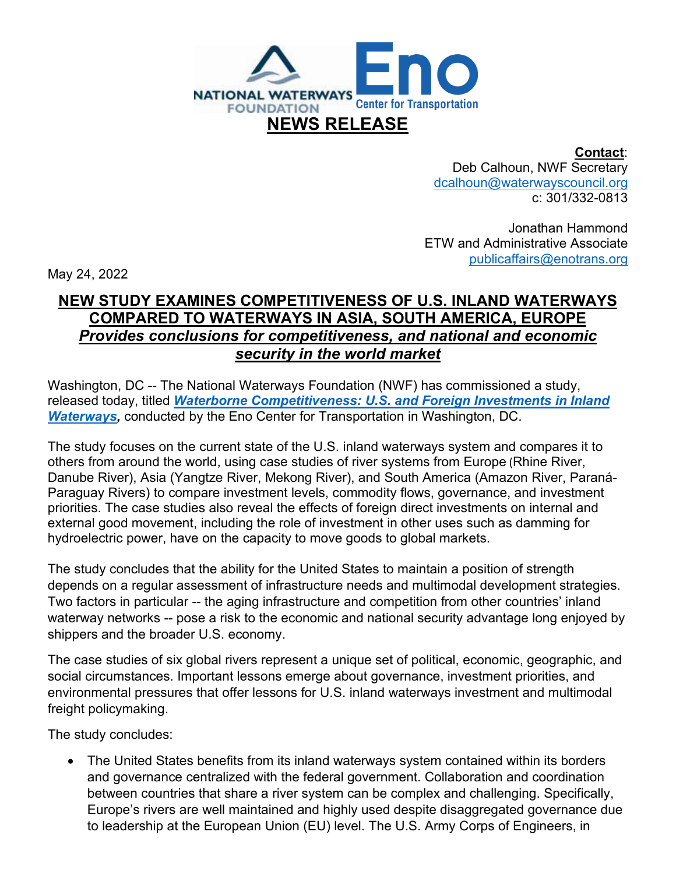

**Contact**: Deb Calhoun, NWF Secretary [dcalhoun@waterwayscouncil.org](mailto:dcalhoun@waterwayscouncil.org) c: 301/332-0813

Jonathan Hammond ETW and Administrative Associate [publicaffairs@enotrans.org](mailto:publicaffairs@enotrans.org)

May 24, 2022

## **NEW STUDY EXAMINES COMPETITIVENESS OF U.S. INLAND WATERWAYS COMPARED TO WATERWAYS IN ASIA, SOUTH AMERICA, EUROPE** *Provides conclusions for competitiveness, and national and economic security in the world market*

Washington, DC -- The National Waterways Foundation (NWF) has commissioned a study, released today, titled *[Waterborne Competitiveness: U.S. and Foreign Investments in Inland](http://www.nationalwaterwaysfoundation.org/Waterborne%20Competitiveness%20-%20NWF%20Eno%20Center%20for%20Transportation%20Final%20Report.pdf)*  **[Waterways,](http://www.nationalwaterwaysfoundation.org/Waterborne%20Competitiveness%20-%20NWF%20Eno%20Center%20for%20Transportation%20Final%20Report.pdf)** conducted by the Eno Center for Transportation in Washington, DC.

The study focuses on the current state of the U.S. inland waterways system and compares it to others from around the world, using case studies of river systems from Europe (Rhine River, Danube River), Asia (Yangtze River, Mekong River), and South America (Amazon River, Paraná-Paraguay Rivers) to compare investment levels, commodity flows, governance, and investment priorities. The case studies also reveal the effects of foreign direct investments on internal and external good movement, including the role of investment in other uses such as damming for hydroelectric power, have on the capacity to move goods to global markets.

The study concludes that the ability for the United States to maintain a position of strength depends on a regular assessment of infrastructure needs and multimodal development strategies. Two factors in particular -- the aging infrastructure and competition from other countries' inland waterway networks -- pose a risk to the economic and national security advantage long enjoyed by shippers and the broader U.S. economy.

The case studies of six global rivers represent a unique set of political, economic, geographic, and social circumstances. Important lessons emerge about governance, investment priorities, and environmental pressures that offer lessons for U.S. inland waterways investment and multimodal freight policymaking.

The study concludes:

• The United States benefits from its inland waterways system contained within its borders and governance centralized with the federal government. Collaboration and coordination between countries that share a river system can be complex and challenging. Specifically, Europe's rivers are well maintained and highly used despite disaggregated governance due to leadership at the European Union (EU) level. The U.S. Army Corps of Engineers, in